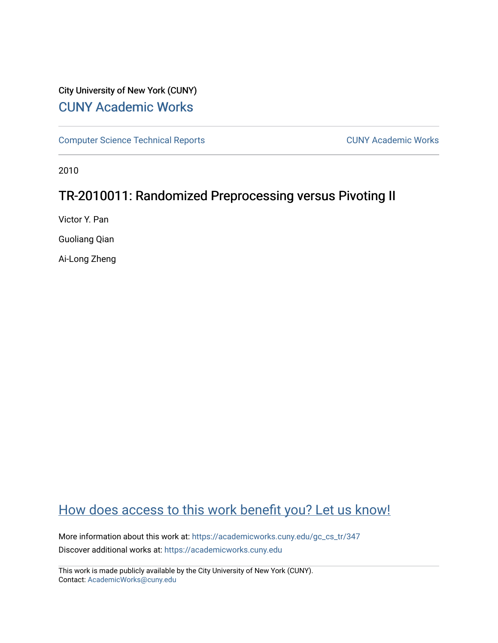# City University of New York (CUNY) [CUNY Academic Works](https://academicworks.cuny.edu/)

[Computer Science Technical Reports](https://academicworks.cuny.edu/gc_cs_tr) **CUNY Academic Works** CUNY Academic Works

2010

# TR-2010011: Randomized Preprocessing versus Pivoting II

Victor Y. Pan

Guoliang Qian

Ai-Long Zheng

# [How does access to this work benefit you? Let us know!](http://ols.cuny.edu/academicworks/?ref=https://academicworks.cuny.edu/gc_cs_tr/347)

More information about this work at: https://academicworks.cuny.edu/gc\_cs\_tr/347 Discover additional works at: [https://academicworks.cuny.edu](https://academicworks.cuny.edu/?)

This work is made publicly available by the City University of New York (CUNY). Contact: [AcademicWorks@cuny.edu](mailto:AcademicWorks@cuny.edu)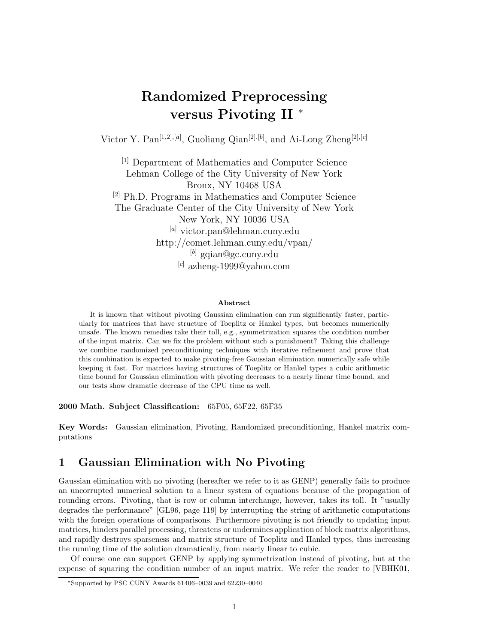# **Randomized Preprocessing versus Pivoting II** <sup>∗</sup>

Victor Y. Pan[1*,*2]*,*[*a*] , Guoliang Qian[2]*,*[*b*] , and Ai-Long Zheng[2]*,*[*c*]

[1] Department of Mathematics and Computer Science Lehman College of the City University of New York Bronx, NY 10468 USA [2] Ph.D. Programs in Mathematics and Computer Science The Graduate Center of the City University of New York New York, NY 10036 USA [*a*] victor.pan@lehman.cuny.edu http://comet.lehman.cuny.edu/vpan/ [*b*] gqian@gc.cuny.edu [*c*] azheng-1999@yahoo.com

#### **Abstract**

It is known that without pivoting Gaussian elimination can run significantly faster, particularly for matrices that have structure of Toeplitz or Hankel types, but becomes numerically unsafe. The known remedies take their toll, e.g., symmetrization squares the condition number of the input matrix. Can we fix the problem without such a punishment? Taking this challenge we combine randomized preconditioning techniques with iterative refinement and prove that this combination is expected to make pivoting-free Gaussian elimination numerically safe while keeping it fast. For matrices having structures of Toeplitz or Hankel types a cubic arithmetic time bound for Gaussian elimination with pivoting decreases to a nearly linear time bound, and our tests show dramatic decrease of the CPU time as well.

**2000 Math. Subject Classification:** 65F05, 65F22, 65F35

**Key Words:** Gaussian elimination, Pivoting, Randomized preconditioning, Hankel matrix computations

## **1 Gaussian Elimination with No Pivoting**

Gaussian elimination with no pivoting (hereafter we refer to it as GENP) generally fails to produce an uncorrupted numerical solution to a linear system of equations because of the propagation of rounding errors. Pivoting, that is row or column interchange, however, takes its toll. It "usually degrades the performance" [GL96, page 119] by interrupting the string of arithmetic computations with the foreign operations of comparisons. Furthermore pivoting is not friendly to updating input matrices, hinders parallel processing, threatens or undermines application of block matrix algorithms, and rapidly destroys sparseness and matrix structure of Toeplitz and Hankel types, thus increasing the running time of the solution dramatically, from nearly linear to cubic.

Of course one can support GENP by applying symmetrization instead of pivoting, but at the expense of squaring the condition number of an input matrix. We refer the reader to [VBHK01,

<sup>∗</sup>Supported by PSC CUNY Awards 61406–0039 and 62230–0040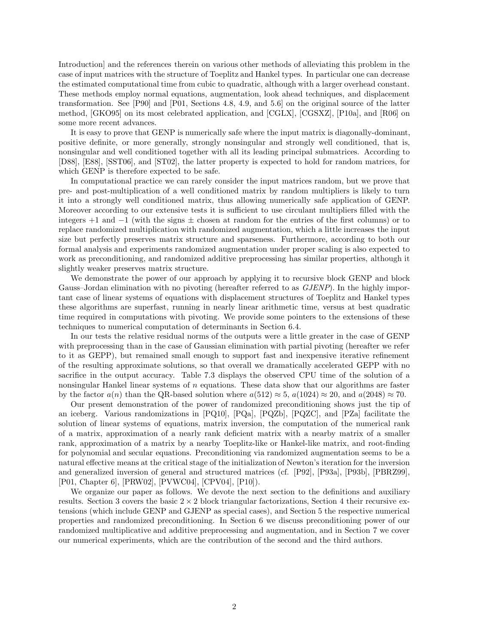Introduction] and the references therein on various other methods of alleviating this problem in the case of input matrices with the structure of Toeplitz and Hankel types. In particular one can decrease the estimated computational time from cubic to quadratic, although with a larger overhead constant. These methods employ normal equations, augmentation, look ahead techniques, and displacement transformation. See [P90] and [P01, Sections 4.8, 4.9, and 5.6] on the original source of the latter method, [GKO95] on its most celebrated application, and [CGLX], [CGSXZ], [P10a], and [R06] on some more recent advances.

It is easy to prove that GENP is numerically safe where the input matrix is diagonally-dominant, positive definite, or more generally, strongly nonsingular and strongly well conditioned, that is, nonsingular and well conditioned together with all its leading principal submatrices. According to [D88], [E88], [SST06], and [ST02], the latter property is expected to hold for random matrices, for which GENP is therefore expected to be safe.

In computational practice we can rarely consider the input matrices random, but we prove that pre- and post-multiplication of a well conditioned matrix by random multipliers is likely to turn it into a strongly well conditioned matrix, thus allowing numerically safe application of GENP. Moreover according to our extensive tests it is sufficient to use circulant multipliers filled with the integers  $+1$  and  $-1$  (with the signs  $\pm$  chosen at random for the entries of the first columns) or to replace randomized multiplication with randomized augmentation, which a little increases the input size but perfectly preserves matrix structure and sparseness. Furthermore, according to both our formal analysis and experiments randomized augmentation under proper scaling is also expected to work as preconditioning, and randomized additive preprocessing has similar properties, although it slightly weaker preserves matrix structure.

We demonstrate the power of our approach by applying it to recursive block GENP and block Gauss–Jordan elimination with no pivoting (hereafter referred to as *GJENP*). In the highly important case of linear systems of equations with displacement structures of Toeplitz and Hankel types these algorithms are superfast, running in nearly linear arithmetic time, versus at best quadratic time required in computations with pivoting. We provide some pointers to the extensions of these techniques to numerical computation of determinants in Section 6.4.

In our tests the relative residual norms of the outputs were a little greater in the case of GENP with preprocessing than in the case of Gaussian elimination with partial pivoting (hereafter we refer to it as GEPP), but remained small enough to support fast and inexpensive iterative refinement of the resulting approximate solutions, so that overall we dramatically accelerated GEPP with no sacrifice in the output accuracy. Table 7.3 displays the observed CPU time of the solution of a nonsingular Hankel linear systems of *n* equations. These data show that our algorithms are faster by the factor  $a(n)$  than the QR-based solution where  $a(512) \approx 5$ ,  $a(1024) \approx 20$ , and  $a(2048) \approx 70$ .

Our present demonstration of the power of randomized preconditioning shows just the tip of an iceberg. Various randomizations in [PQ10], [PQa], [PQZb], [PQZC], and [PZa] facilitate the solution of linear systems of equations, matrix inversion, the computation of the numerical rank of a matrix, approximation of a nearly rank deficient matrix with a nearby matrix of a smaller rank, approximation of a matrix by a nearby Toeplitz-like or Hankel-like matrix, and root-finding for polynomial and secular equations. Preconditioning via randomized augmentation seems to be a natural effective means at the critical stage of the initialization of Newton's iteration for the inversion and generalized inversion of general and structured matrices (cf. [P92], [P93a], [P93b], [PBRZ99], [P01, Chapter 6], [PRW02], [PVWC04], [CPV04], [P10]).

We organize our paper as follows. We devote the next section to the definitions and auxiliary results. Section 3 covers the basic  $2 \times 2$  block triangular factorizations, Section 4 their recursive extensions (which include GENP and GJENP as special cases), and Section 5 the respective numerical properties and randomized preconditioning. In Section 6 we discuss preconditioning power of our randomized multiplicative and additive preprocessing and augmentation, and in Section 7 we cover our numerical experiments, which are the contribution of the second and the third authors.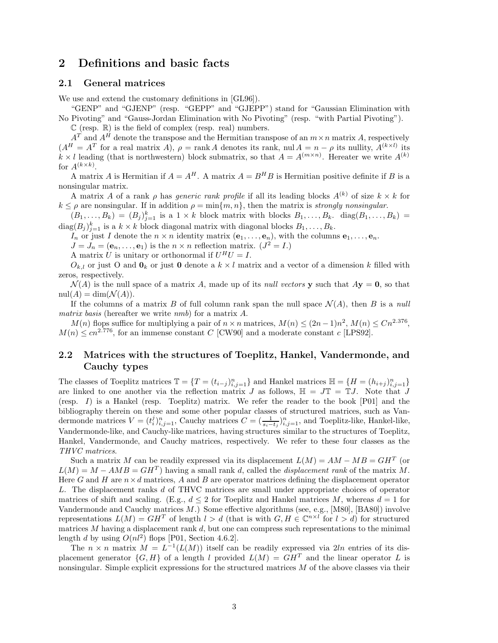### **2 Definitions and basic facts**

### **2.1 General matrices**

We use and extend the customary definitions in [GL96]).

"GENP" and "GJENP" (resp. "GEPP" and "GJEPP") stand for "Gaussian Elimination with No Pivoting" and "Gauss-Jordan Elimination with No Pivoting" (resp. "with Partial Pivoting").

 $\mathbb C$  (resp.  $\mathbb R$ ) is the field of complex (resp. real) numbers.

 $A<sup>T</sup>$  and  $A<sup>H</sup>$  denote the transpose and the Hermitian transpose of an  $m \times n$  matrix *A*, respectively  $(A^H = A^T$  for a real matrix *A*),  $\rho = \text{rank } A$  denotes its rank, nul  $A = n - \rho$  its nullity,  $A^{(k \times l)}$  its  $k \times l$  leading (that is northwestern) block submatrix, so that  $A = A^{(m \times n)}$ . Hereater we write  $A^{(k)}$ for  $A^{(k \times k)}$ .

A matrix *A* is Hermitian if  $A = A^H$ . A matrix  $A = B^H B$  is Hermitian positive definite if *B* is a nonsingular matrix.

A matrix *A* of a rank *ρ* has *generic rank profile* if all its leading blocks  $A^{(k)}$  of size  $k \times k$  for  $k \leq \rho$  are nonsingular. If in addition  $\rho = \min\{m, n\}$ , then the matrix is *strongly nonsingular*.

 $(B_1, \ldots, B_k) = (B_j)_{j=1}^k$  is a  $1 \times k$  block matrix with blocks  $B_1, \ldots, B_k$ . diag $(B_1, \ldots, B_k)$  $\text{diag}(B_j)_{j=1}^k$  is a  $k \times k$  block diagonal matrix with diagonal blocks  $B_1, \ldots, B_k$ .

*I<sub>n</sub>* or just *I* denote the  $n \times n$  identity matrix  $(e_1, \ldots, e_n)$ , with the columns  $e_1, \ldots, e_n$ .

 $J = J_n = (\mathbf{e}_n, \dots, \mathbf{e}_1)$  is the  $n \times n$  reflection matrix.  $(J^2 = I)$ .

A matrix *U* is unitary or orthonormal if  $U^H U = I$ .

 $O_{k,l}$  or just O and  $\mathbf{0}_k$  or just O denote a  $k \times l$  matrix and a vector of a dimension k filled with zeros, respectively.

 $\mathcal{N}(A)$  is the null space of a matrix A, made up of its *null vectors* **y** such that  $A$ **y** = **0**, so that  $nul(A) = dim(\mathcal{N}(A)).$ 

If the columns of a matrix *B* of full column rank span the null space  $\mathcal{N}(A)$ , then *B* is a *null matrix basis* (hereafter we write *nmb*) for a matrix *A*.

*M*(*n*) flops suffice for multiplying a pair of  $n \times n$  matrices,  $M(n) \leq (2n-1)n^2$ ,  $M(n) \leq Cn^{2.376}$ ,  $M(n) \leq cn^{2.776}$ , for an immense constant *C* [CW90] and a moderate constant *c* [LPS92].

### **2.2 Matrices with the structures of Toeplitz, Hankel, Vandermonde, and Cauchy types**

The classes of Toeplitz matrices  $\mathbb{T} = \{T = (t_{i-j})_{i,j=1}^n\}$  and Hankel matrices  $\mathbb{H} = \{H = (h_{i+j})_{i,j=1}^n\}$ are linked to one another via the reflection matrix *J* as follows,  $\mathbb{H} = J\mathbb{T} = \mathbb{T}J$ . Note that *J* (resp. *I*) is a Hankel (resp. Toeplitz) matrix. We refer the reader to the book [P01] and the bibliography therein on these and some other popular classes of structured matrices, such as Vandermonde matrices  $V = (t_i^j)_{i,j=1}^n$ , Cauchy matrices  $C = (\frac{1}{s_i - t_j})_{i,j=1}^n$ , and Toeplitz-like, Hankel-like, Vandermonde-like, and Cauchy-like matrices, having structures similar to the structures of Toeplitz, Hankel, Vandermonde, and Cauchy matrices, respectively. We refer to these four classes as the *THVC matrices*.

Such a matrix *M* can be readily expressed via its displacement  $L(M) = AM - MB = GH^T$  (or  $L(M) = M - AMB = GH^T$  having a small rank *d*, called the *displacement rank* of the matrix *M*. Here *G* and *H* are  $n \times d$  matrices, *A* and *B* are operator matrices defining the displacement operator *L*. The displacement ranks *d* of THVC matrices are small under appropriate choices of operator matrices of shift and scaling. (E.g.,  $d \leq 2$  for Toeplitz and Hankel matrices M, whereas  $d = 1$  for Vandermonde and Cauchy matrices *M*.) Some effective algorithms (see, e.g., [M80], [BA80]) involve representations  $L(M) = GH^T$  of length  $l > d$  (that is with  $G, H \in \mathbb{C}^{n \times l}$  for  $l > d$ ) for structured matrices *M* having a displacement rank *d*, but one can compress such representations to the minimal length *d* by using  $O(nl^2)$  flops [P01, Section 4.6.2].

The  $n \times n$  matrix  $M = L^{-1}(L(M))$  itself can be readily expressed via 2ln entries of its displacement generator  $\{G, H\}$  of a length *l* provided  $L(M) = GH^T$  and the linear operator *L* is nonsingular. Simple explicit expressions for the structured matrices *M* of the above classes via their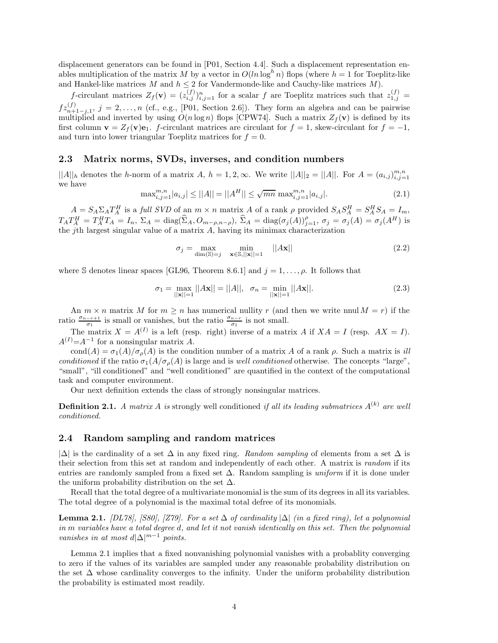displacement generators can be found in [P01, Section 4.4]. Such a displacement representation enables multiplication of the matrix *M* by a vector in  $O(ln log<sup>h</sup> n)$  flops (where  $h = 1$  for Toeplitz-like and Hankel-like matrices  $M$  and  $h \leq 2$  for Vandermonde-like and Cauchy-like matrices  $M$ ).

*f*-circulant matrices  $Z_f(\mathbf{v}) = (z_{i,j}^{(f)})_{i,j=1}^n$  for a scalar *f* are Toeplitz matrices such that  $z_{1,j}^{(f)} =$  $fz_{n+1-j,1}^{(f)}$ ,  $j = 2, \ldots, n$  (cf., e.g., [P01, Section 2.6]). They form an algebra and can be pairwise multiplied and inverted by using  $O(n \log n)$  flops [CPW74]. Such a matrix  $Z_f(\mathbf{v})$  is defined by its first column  $\mathbf{v} = Z_f(\mathbf{v})\mathbf{e}_1$ . *f*-circulant matrices are circulant for  $f = 1$ , skew-circulant for  $f = -1$ , and turn into lower triangular Toeplitz matrices for  $f = 0$ .

### **2.3 Matrix norms, SVDs, inverses, and condition numbers**

 $||A||_h$  denotes the *h*-norm of a matrix *A*,  $h = 1, 2, \infty$ . We write  $||A||_2 = ||A||$ . For  $A = (a_{i,j})_{i,j=1}^{m,n}$ we have

$$
\max_{i,j=1}^{m,n} |a_{i,j}| \le ||A|| = ||A^H|| \le \sqrt{mn} \max_{i,j=1}^{m,n} |a_{i,j}|.
$$
 (2.1)

 $A = S_A \Sigma_A T_A^H$  is a full SVD of an  $m \times n$  matrix A of a rank  $\rho$  provided  $S_A S_A^H = S_A^H S_A = I_m$ ,  $T_A T_A^H = T_A^H T_A = I_n$ ,  $\Sigma_A = \text{diag}(\hat{\Sigma}_A, O_{m-\rho,n-\rho}),$   $\hat{\Sigma}_A = \text{diag}(\sigma_j(A))_{j=1}^{\rho},$   $\sigma_j = \sigma_j(A) = \sigma_j(A^H)$  is the *j*th largest singular value of a matrix *A*, having its minimax characterization

$$
\sigma_j = \max_{\dim(\mathbb{S}) = j} \min_{\mathbf{x} \in \mathbb{S}, ||\mathbf{x}|| = 1} ||A\mathbf{x}|| \tag{2.2}
$$

where S denotes linear spaces [GL96, Theorem 8.6.1] and  $j = 1, \ldots, \rho$ . It follows that

$$
\sigma_1 = \max_{||\mathbf{x}||=1} ||A\mathbf{x}|| = ||A||, \quad \sigma_n = \min_{||\mathbf{x}||=1} ||A\mathbf{x}||. \tag{2.3}
$$

An  $m \times n$  matrix M for  $m \geq n$  has numerical nullity r (and then we write nnul  $M = r$ ) if the ratio  $\frac{\sigma_{n-r+1}}{\sigma_1}$  is small or vanishes, but the ratio  $\frac{\sigma_{n-r}}{\sigma_1}$  is not small.

The matrix  $X = A^{(I)}$  is a left (resp. right) inverse of a matrix *A* if  $XA = I$  (resp.  $AX = I$ ).  $A^{(I)} = A^{-1}$  for a nonsingular matrix *A*.

cond(*A*) =  $\sigma_1(A)/\sigma_0(A)$  is the condition number of a matrix *A* of a rank *ρ*. Such a matrix is *ill conditioned* if the ratio  $\sigma_1(A/\sigma_\rho(A))$  is large and is *well conditioned* otherwise. The concepts "large", "small", "ill conditioned" and "well conditioned" are quantified in the context of the computational task and computer environment.

Our next definition extends the class of strongly nonsingular matrices.

**Definition 2.1.** *A matrix A is* strongly well conditioned *if all its leading submatrices*  $A^{(k)}$  *are well conditioned.*

### **2.4 Random sampling and random matrices**

|∆| is the cardinality of a set ∆ in any fixed ring. *Random sampling* of elements from a set ∆ is their selection from this set at random and independently of each other. A matrix is *random* if its entries are randomly sampled from a fixed set ∆. Random sampling is *uniform* if it is done under the uniform probability distribution on the set  $\Delta$ .

Recall that the total degree of a multivariate monomial is the sum of its degrees in all its variables. The total degree of a polynomial is the maximal total defree of its monomials.

**Lemma 2.1.** *[DL78], [S80], [Z79]. For a set* ∆ *of cardinality* |∆| *(in a fixed ring), let a polynomial in m variables have a total degree d, and let it not vanish identically on this set. Then the polynomial vanishes in at most*  $d|\Delta|^{m-1}$  *points.* 

Lemma 2.1 implies that a fixed nonvanishing polynomial vanishes with a probablity converging to zero if the values of its variables are sampled under any reasonable probability distribution on the set  $\Delta$  whose cardinality converges to the infinity. Under the uniform probability distribution the probability is estimated most readily.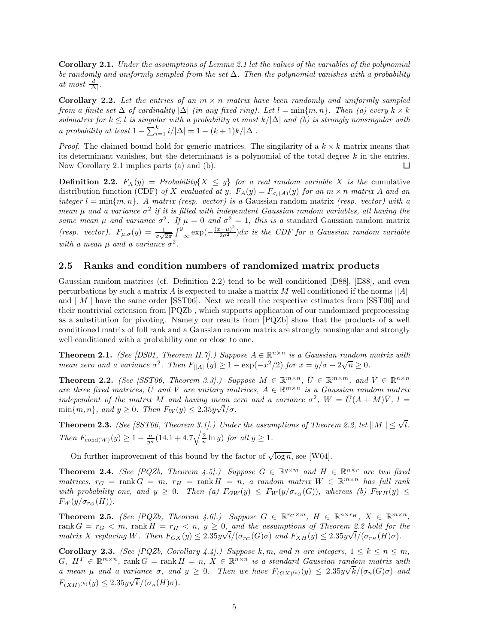**Corollary 2.1.** *Under the assumptions of Lemma 2.1 let the values of the variables of the polynomial be randomly and uniformly sampled from the set* ∆*. Then the polynomial vanishes with a probability at most*  $\frac{d}{|\Delta|}$ *.* 

**Corollary 2.2.** Let the entries of an  $m \times n$  matrix have been randomly and uniformly sampled *from a finite set*  $\Delta$  *of cardinality*  $|\Delta|$  *(in any fixed ring). Let*  $l = \min\{m, n\}$ *. Then (a) every*  $k \times k$ *submatrix for*  $k \leq l$  *is singular with a probability at most*  $k/|\Delta|$  *and* (*b*) *is strongly nonsingular with a probability at least*  $1 - \sum_{i=1}^{k} i/|\Delta| = 1 - (k+1)k/|\Delta|$ .

*Proof.* The claimed bound hold for generic matrices. The singilarity of a  $k \times k$  matrix means that its determinant vanishes, but the determinant is a polynomial of the total degree *k* in the entries. Now Corollary 2.1 implies parts (a) and (b). □

**Definition 2.2.**  $F_X(y) = Probability\{X \leq y\}$  *for a real random variable X is the* cumulative distribution function (CDF) of X evaluated at y.  $F_A(y) = F_{\sigma_l(A)}(y)$  for an  $m \times n$  matrix A and an *integer*  $l = \min\{m, n\}$ . A matrix (resp. vector) is a Gaussian random matrix (resp. vector) with a *mean*  $\mu$  *and a variance*  $\sigma^2$  *if it is filled with independent Gaussian random variables, all having the same mean*  $\mu$  *and variance*  $\sigma^2$ *. If*  $\mu = 0$  *and*  $\sigma^2 = 1$ *, this is a* standard Gaussian random matrix *(resp. vector).*  $F_{\mu,\sigma}(y) = \frac{1}{\sigma\sqrt{2\pi}} \int_{-\infty}^{y} \exp(-\frac{(x-\mu)^2}{2\sigma^2}) dx$  is the CDF for a Gaussian random variable *with a mean*  $\mu$  *and a variance*  $\sigma^2$ .

### **2.5 Ranks and condition numbers of randomized matrix products**

Gaussian random matrices (cf. Definition 2.2) tend to be well conditioned [D88], [E88], and even perturbations by such a matrix *A* is expected to make a matrix *M* well conditioned if the norms  $||A||$ and ||*M*|| have the same order [SST06]. Next we recall the respective estimates from [SST06] and their nontrivial extension from [PQZb], which supports application of our randomized preprocessing as a substitution for pivoting. Namely our results from [PQZb] show that the products of a well conditioned matrix of full rank and a Gaussian random matrix are strongly nonsingular and strongly well conditioned with a probability one or close to one.

**Theorem 2.1.** *(See [DS01, Theorem II.7].) Suppose*  $A \in \mathbb{R}^{n \times n}$  *is a Gaussian random matrix with mean zero and a variance*  $\sigma^2$ . Then  $F_{\vert A \vert \vert}(y) \geq 1 - \exp(-x^2/2)$  for  $x = y/\sigma - 2\sqrt{n} \geq 0$ .

**Theorem 2.2.** *(See [SST06, Theorem 3.3].) Suppose*  $M \in \mathbb{R}^{m \times n}$ ,  $\overline{U} \in \mathbb{R}^{m \times m}$ , and  $\overline{V} \in \mathbb{R}^{n \times n}$  $\alpha$  *are three fixed matrices,*  $\overline{U}$  *and*  $\overline{V}$  *are unitary matrices,*  $A \in \mathbb{R}^{m \times n}$  *is a Gaussian random matrix independent of the matrix M and having mean zero and a variance*  $\sigma^2$ ,  $W = \bar{U}(A + M)\bar{V}$ ,  $l =$  $\min\{m, n\}$ *, and*  $y \ge 0$ *. Then*  $F_W(y) \le 2.35y\sqrt{l/\sigma}$ *.* 

**Theorem 2.3.** *(See [SST06, Theorem 3.1].) Under the assumptions of Theorem 2.2, let*  $||M|| \leq \sqrt{l}$ *. Then*  $F_{\text{cond}(W)}(y) \geq 1 - \frac{n}{y\sigma}(14.1 + 4.7\sqrt{\frac{2}{n}\ln y})$  *for all*  $y \geq 1$ *.* 

On further improvement of this bound by the factor of  $\sqrt{\log n}$ , see [W04].

**Theorem 2.4.** *(See [PQZb, Theorem 4.5].) Suppose*  $G \in \mathbb{R}^{q \times m}$  and  $H \in \mathbb{R}^{n \times r}$  are two fixed  $matrices, r_G = \text{rank } G = m, r_H = \text{rank } H = n, a random matrix W \in \mathbb{R}^{m \times n}$  has full rank *with probability one, and*  $y \geq 0$ *. Then* (*a)*  $F_{GW}(y) \leq F_{W}(y/\sigma_{r_{G}}(G))$ *, whereas (b)*  $F_{WH}(y) \leq$  $F_W(y/\sigma_{rc}(H))$ .

**Theorem 2.5.** *(See [PQZb, Theorem 4.6].) Suppose*  $G \in \mathbb{R}^{r_G \times m}$ ,  $H \in \mathbb{R}^{n \times r_H}$ ,  $X \in \mathbb{R}^{m \times n}$ ,  $\text{rank } G = r_G < m, \text{ rank } H = r_H < n, y \geq 0, \text{ and the assumptions of Theorem 2.2 hold for the$ *matrix X replacing W. Then*  $F_{GX}(y) \leq 2.35y$  $\mathsf{U}_{\mathcal{I}_{\mathcal{A}}}$  $l/(\sigma_{r_G}(G)\sigma)$  and  $F_{XH}(y) \leq 2.35y$  $\frac{1}{\lambda}$  $l/(\sigma_{r_H}(H)\sigma)$ .

**Corollary 2.3.** *(See [PQZb, Corollary 4.4].) Suppose*  $k, m$ *, and*  $n$  *are integers,*  $1 \leq k \leq n \leq m$ *,*  $G, H^T \in \mathbb{R}^{m \times n}$ , rank  $G = \text{rank } H = n$ ,  $X \in \mathbb{R}^{n \times n}$  *is a standard Gaussian random matrix with*  $G, H^2 \in \mathbb{R}^{m \times n}$ ,  $\text{rank } G = \text{rank } H = n, X \in \mathbb{R}^{m \times n}$  *is a standard Gaussian random matrix with*<br> *a mean*  $\mu$  and a variance  $\sigma$ , and  $y \geq 0$ . Then we have  $F_{(GX)^{(k)}}(y) \leq 2.35y\sqrt{k}/(\sigma_n(G)\sigma)$  and  $F_{(XH)^{(k)}}(y) \leq 2.35y\sqrt{k/(\sigma_n(H)\sigma)}.$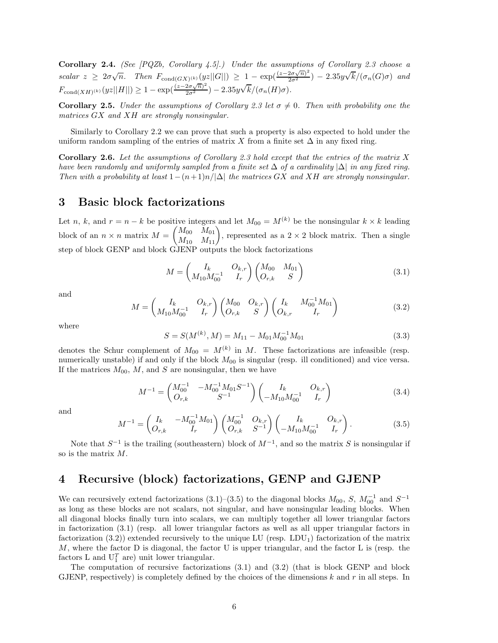**Corollary 2.4.** *(See [PQZb, Corollary 4.5].) Under the assumptions of Corollary 2.3 choose a*  $scalar z \geq 2\sigma\sqrt{n}$ . Then  $F_{\text{cond}(GX)^{(k)}}(yz||G||) \geq 1 - \exp(\frac{(z-2\sigma\sqrt{n})^2}{2\sigma^2}) - 2.35y$ √  $k/(\sigma_n(G)\sigma)$  *and*  $F_{\text{cond}(XH)^{(k)}}(yz||H||) \geq 1 - \exp(\frac{(z-2\sigma\sqrt{n})^2}{2\sigma^2}) - 2.35y$ √  $k/(\sigma_n(H)\sigma)$ .

**Corollary 2.5.** *Under the assumptions of Corollary 2.3 let*  $\sigma \neq 0$ *. Then with probability one the matrices GX and XH are strongly nonsingular.*

Similarly to Corollary 2.2 we can prove that such a property is also expected to hold under the uniform random sampling of the entries of matrix X from a finite set  $\Delta$  in any fixed ring.

**Corollary 2.6.** *Let the assumptions of Corollary 2.3 hold except that the entries of the matrix X have been randomly and uniformly sampled from a finite set* ∆ *of a cardinality* |∆| *in any fixed ring. Then with a probability at least*  $1-(n+1)n/|\Delta|$  *the matrices GX and XH are strongly nonsingular.* 

## **3 Basic block factorizations**

Let *n*, *k*, and  $r = n - k$  be positive integers and let  $M_{00} = M^{(k)}$  be the nonsingular  $k \times k$  leading block of an  $n \times n$  matrix  $M =$  $\begin{pmatrix} M_{00} & M_{01} \\ M_{10} & M_{11} \end{pmatrix}$ , represented as a 2 × 2 block matrix. Then a single step of block GENP and block GJENP outputs the block factorizations

$$
M = \begin{pmatrix} I_k & O_{k,r} \\ M_{10} M_{00}^{-1} & I_r \end{pmatrix} \begin{pmatrix} M_{00} & M_{01} \\ O_{r,k} & S \end{pmatrix}
$$
 (3.1)

and

$$
M = \begin{pmatrix} I_k & O_{k,r} \\ M_{10} M_{00}^{-1} & I_r \end{pmatrix} \begin{pmatrix} M_{00} & O_{k,r} \\ O_{r,k} & S \end{pmatrix} \begin{pmatrix} I_k & M_{00}^{-1} M_{01} \\ O_{k,r} & I_r \end{pmatrix}
$$
(3.2)

where

$$
S = S(M^{(k)}, M) = M_{11} - M_{01} M_{00}^{-1} M_{01}
$$
\n(3.3)

denotes the Schur complement of  $M_{00} = M^{(k)}$  in *M*. These factorizations are infeasible (resp. numerically unstable) if and only if the block  $M_{00}$  is singular (resp. ill conditioned) and vice versa. If the matrices  $M_{00}$ ,  $M$ , and  $S$  are nonsingular, then we have

$$
M^{-1} = \begin{pmatrix} M_{00}^{-1} & -M_{00}^{-1} M_{01} S^{-1} \\ O_{r,k} & S^{-1} \end{pmatrix} \begin{pmatrix} I_k & O_{k,r} \\ -M_{10} M_{00}^{-1} & I_r \end{pmatrix}
$$
(3.4)

and

$$
M^{-1} = \begin{pmatrix} I_k & -M_{00}^{-1} M_{01} \\ O_{r,k} & I_r \end{pmatrix} \begin{pmatrix} M_{00}^{-1} & O_{k,r} \\ O_{r,k} & S^{-1} \end{pmatrix} \begin{pmatrix} I_k & O_{k,r} \\ -M_{10} M_{00}^{-1} & I_r \end{pmatrix}.
$$
 (3.5)

Note that *S*−<sup>1</sup> is the trailing (southeastern) block of *M*−<sup>1</sup>, and so the matrix *S* is nonsingular if so is the matrix *M*.

# **4 Recursive (block) factorizations, GENP and GJENP**

We can recursively extend factorizations (3.1)–(3.5) to the diagonal blocks  $M_{00}$ , *S*,  $M_{00}^{-1}$  and  $S^{-1}$ as long as these blocks are not scalars, not singular, and have nonsingular leading blocks. When all diagonal blocks finally turn into scalars, we can multiply together all lower triangular factors in factorization (3.1) (resp. all lower triangular factors as well as all upper triangular factors in factorization  $(3.2)$ ) extended recursively to the unique LU (resp. LDU<sub>1</sub>) factorization of the matrix *M*, where the factor D is diagonal, the factor U is upper triangular, and the factor L is (resp. the factors L and  $U_1^T$  are) unit lower triangular.

The computation of recursive factorizations (3.1) and (3.2) (that is block GENP and block GJENP, respectively) is completely defined by the choices of the dimensions *k* and *r* in all steps. In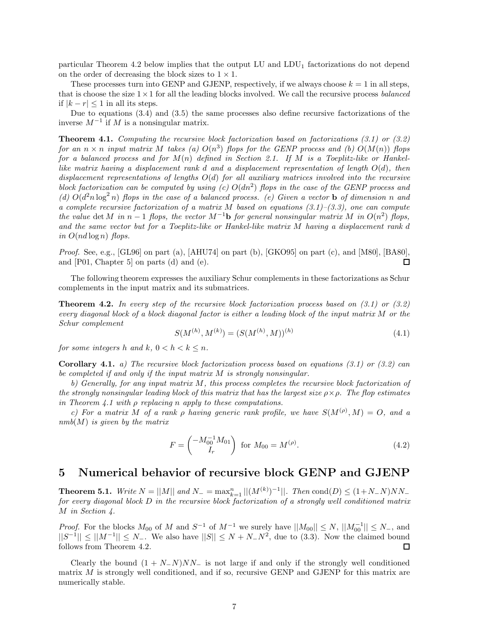particular Theorem 4.2 below implies that the output LU and  $LDU_1$  factorizations do not depend on the order of decreasing the block sizes to  $1 \times 1$ .

These processes turn into GENP and GJENP, respectively, if we always choose  $k = 1$  in all steps, that is choose the size 1×1 for all the leading blocks involved. We call the recursive process *balanced* if  $|k - r|$  ≤ 1 in all its steps.

Due to equations (3.4) and (3.5) the same processes also define recursive factorizations of the inverse *M*−<sup>1</sup> if *M* is a nonsingular matrix.

**Theorem 4.1.** *Computing the recursive block factorization based on factorizations (3.1) or (3.2) for an*  $n \times n$  *input matrix*  $M$  *takes (a)*  $O(n^3)$  *flops for the GENP process and (b)*  $O(M(n))$  *flops for a balanced process and for M*(*n*) *defined in Section 2.1. If M is a Toeplitz-like or Hankellike matrix having a displacement rank d and a displacement representation of length O*(*d*)*, then displacement representations of lengths O*(*d*) *for all auxiliary matrices involved into the recursive block factorization can be computed by using (c) O*(*dn*2) *flops in the case of the GENP process and* (d)  $O(d^2n \log^2 n)$  flops in the case of a balanced process. (e) Given a vector **b** of dimension *n* and *a complete recursive factorization of a matrix M based on equations (3.1)–(3.3), one can compute the value* det *M* in  $n-1$  *flops, the vector*  $M^{-1}$ **b** *for general nonsingular matrix*  $M$  *in*  $O(n^2)$  *flops, and the same vector but for a Toeplitz-like or Hankel-like matrix M having a displacement rank d*  $in$   $O(nd \log n)$   $flops.$ 

*Proof.* See, e.g., [GL96] on part (a), [AHU74] on part (b), [GKO95] on part (c), and [M80], [BA80], and [P01, Chapter 5] on parts (d) and (e). П

The following theorem expresses the auxiliary Schur complements in these factorizations as Schur complements in the input matrix and its submatrices.

**Theorem 4.2.** *In every step of the recursive block factorization process based on (3.1) or (3.2) every diagonal block of a block diagonal factor is either a leading block of the input matrix M or the Schur complement*

$$
S(M^{(h)}, M^{(k)}) = (S(M^{(h)}, M))^{(h)}
$$
\n(4.1)

*for some integers h and*  $k$ *,*  $0 < h < k \leq n$ *.* 

**Corollary 4.1.** *a) The recursive block factorization process based on equations (3.1) or (3.2) can be completed if and only if the input matrix M is strongly nonsingular.*

*b) Generally, for any input matrix M, this process completes the recursive block factorization of the strongly nonsingular leading block of this matrix that has the largest size ρ*×*ρ. The flop estimates in Theorem 4.1 with ρ replacing n apply to these computations.*

*c)* For a matrix M of a rank  $\rho$  having generic rank profile, we have  $S(M^{(\rho)}, M) = O$ , and a *nmb*(*M*) *is given by the matrix*

$$
F = \begin{pmatrix} -M_{00}^{-1} M_{01} \\ I_r \end{pmatrix} \text{ for } M_{00} = M^{(\rho)}.
$$
 (4.2)

## **5 Numerical behavior of recursive block GENP and GJENP**

**Theorem 5.1.** *Write*  $N = ||M||$  *and*  $N = \max_{k=1}^{n} ||(M^{(k)})^{-1}||$ *. Then* cond $(D) \leq (1 + N - N)NN$ *for every diagonal block D in the recursive block factorization of a strongly well conditioned matrix M in Section 4.*

*Proof.* For the blocks  $M_{00}$  of  $M$  and  $S^{-1}$  of  $M^{-1}$  we surely have  $||M_{00}|| \leq N$ ,  $||M_{00}^{-1}|| \leq N$ <sub>-</sub>, and  $||S^{-1}|| \le ||M^{-1}|| \le N_-\$ . We also have  $||S|| \le N + N_-\mathbb{N}^2$ , due to (3.3). Now the claimed bound follows from Theorem 4.2.

Clearly the bound  $(1 + N_{-}N)NN_{-}$  is not large if and only if the strongly well conditioned matrix *M* is strongly well conditioned, and if so, recursive GENP and GJENP for this matrix are numerically stable.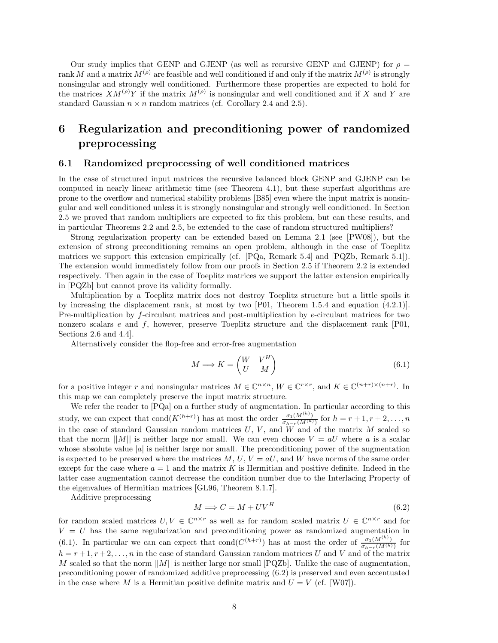Our study implies that GENP and GJENP (as well as recursive GENP and GJENP) for  $\rho =$ rank *M* and a matrix  $M^{(\rho)}$  are feasible and well conditioned if and only if the matrix  $M^{(\rho)}$  is strongly nonsingular and strongly well conditioned. Furthermore these properties are expected to hold for the matrices  $XM^{(\rho)}Y$  if the matrix  $M^{(\rho)}$  is nonsingular and well conditioned and if *X* and *Y* are standard Gaussian  $n \times n$  random matrices (cf. Corollary 2.4 and 2.5).

# **6 Regularization and preconditioning power of randomized preprocessing**

### **6.1 Randomized preprocessing of well conditioned matrices**

In the case of structured input matrices the recursive balanced block GENP and GJENP can be computed in nearly linear arithmetic time (see Theorem 4.1), but these superfast algorithms are prone to the overflow and numerical stability problems [B85] even where the input matrix is nonsingular and well conditioned unless it is strongly nonsingular and strongly well conditioned. In Section 2.5 we proved that random multipliers are expected to fix this problem, but can these results, and in particular Theorems 2.2 and 2.5, be extended to the case of random structured multipliers?

Strong regularization property can be extended based on Lemma 2.1 (see [PW08]), but the extension of strong preconditioning remains an open problem, although in the case of Toeplitz matrices we support this extension empirically (cf. [PQa, Remark 5.4] and [PQZb, Remark 5.1]). The extension would immediately follow from our proofs in Section 2.5 if Theorem 2.2 is extended respectively. Then again in the case of Toeplitz matrices we support the latter extension empirically in [PQZb] but cannot prove its validity formally.

Multiplication by a Toeplitz matrix does not destroy Toeplitz structure but a little spoils it by increasing the displacement rank, at most by two [P01, Theorem 1.5.4 and equation (4.2.1)]. Pre-multiplication by *f*-circulant matrices and post-multiplication by *e*-circulant matrices for two nonzero scalars *e* and *f*, however, preserve Toeplitz structure and the displacement rank [P01, Sections 2.6 and 4.4].

Alternatively consider the flop-free and error-free augmentation

$$
M \Longrightarrow K = \begin{pmatrix} W & V^H \\ U & M \end{pmatrix} \tag{6.1}
$$

for a positive integer *r* and nonsingular matrices  $M \in \mathbb{C}^{n \times n}$ ,  $W \in \mathbb{C}^{r \times r}$ , and  $K \in \mathbb{C}^{(n+r)\times(n+r)}$ . In this map we can completely preserve the input matrix structure.

We refer the reader to [PQa] on a further study of augmentation. In particular according to this study, we can expect that cond $(K^{(h+r)})$  has at most the order  $\frac{\sigma_1(M^{(h)})}{\sigma_{h-r}(M^{(h)})}$  for  $h = r + 1, r + 2, \ldots, n$ in the case of standard Gaussian random matrices  $U, V$ , and  $\tilde{W}$  and of the matrix  $M$  scaled so that the norm  $||M||$  is neither large nor small. We can even choose  $V = aU$  where a is a scalar whose absolute value  $|a|$  is neither large nor small. The preconditioning power of the augmentation is expected to be preserved where the matrices  $M, U, V = aU$ , and  $W$  have norms of the same order except for the case where  $a = 1$  and the matrix  $K$  is Hermitian and positive definite. Indeed in the latter case augmentation cannot decrease the condition number due to the Interlacing Property of the eigenvalues of Hermitian matrices [GL96, Theorem 8.1.7].

Additive preprocessing

$$
M \Longrightarrow C = M + UV^H \tag{6.2}
$$

for random scaled matrices  $U, V \in \mathbb{C}^{n \times r}$  as well as for random scaled matrix  $U \in \mathbb{C}^{n \times r}$  and for  $V = U$  has the same regularization and preconditioning power as randomized augmentation in (6.1). In particular we can can expect that cond $(C^{(h+r)})$  has at most the order of  $\frac{\sigma_1(M^{(h)})}{\sigma_{h-r}(M^{(h)})}$  for  $h = r + 1, r + 2, \ldots, n$  in the case of standard Gaussian random matrices *U* and *V* and of the matrix *M* scaled so that the norm  $||M||$  is neither large nor small [PQZb]. Unlike the case of augmentation, preconditioning power of randomized additive preprocessing (6.2) is preserved and even accentuated in the case where *M* is a Hermitian positive definite matrix and  $U = V$  (cf. [W07]).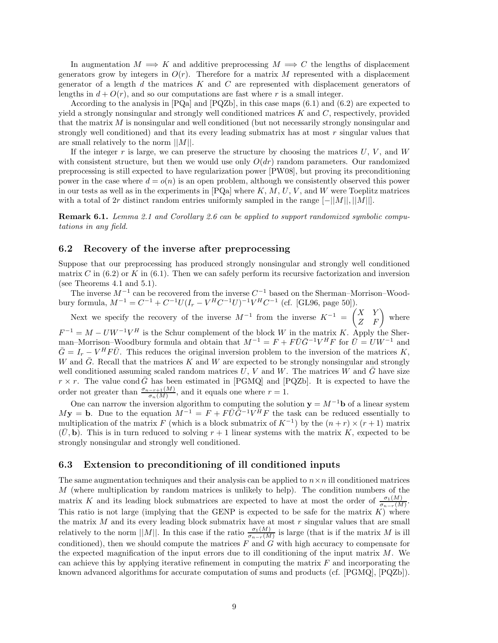In augmentation  $M \implies K$  and additive preprocessing  $M \implies C$  the lengths of displacement generators grow by integers in  $O(r)$ . Therefore for a matrix M represented with a displacement generator of a length *d* the matrices *K* and *C* are represented with displacement generators of lengths in  $d + O(r)$ , and so our computations are fast where r is a small integer.

According to the analysis in  $[PQa]$  and  $[PQZb]$ , in this case maps  $(6.1)$  and  $(6.2)$  are expected to yield a strongly nonsingular and strongly well conditioned matrices *K* and *C*, respectively, provided that the matrix *M* is nonsingular and well conditioned (but not necessarily strongly nonsingular and strongly well conditioned) and that its every leading submatrix has at most *r* singular values that are small relatively to the norm ||*M*||.

If the integer  $r$  is large, we can preserve the structure by choosing the matrices  $U, V$ , and  $W$ with consistent structure, but then we would use only  $O(dr)$  random parameters. Our randomized preprocessing is still expected to have regularization power [PW08], but proving its preconditioning power in the case where  $d = o(n)$  is an open problem, although we consistently observed this power in our tests as well as in the experiments in [PQa] where *K*, *M*, *U*, *V* , and *W* were Toeplitz matrices with a total of 2*r* distinct random entries uniformly sampled in the range  $[-||M||, ||M||]$ .

**Remark 6.1.** *Lemma 2.1 and Corollary 2.6 can be applied to support randomized symbolic computations in any field.*

### **6.2 Recovery of the inverse after preprocessing**

Suppose that our preprocessing has produced strongly nonsingular and strongly well conditioned matrix *C* in  $(6.2)$  or *K* in  $(6.1)$ . Then we can safely perform its recursive factorization and inversion (see Theorems 4.1 and 5.1).

The inverse *M*−<sup>1</sup> can be recovered from the inverse *C*−<sup>1</sup> based on the Sherman–Morrison–Woodbury formula,  $M^{-1} = C^{-1} + C^{-1}U(I_r - V^HC^{-1}U)^{-1}V^HC^{-1}$  (cf. [GL96, page 50]).

Next we specify the recovery of the inverse  $M^{-1}$  from the inverse  $K^{-1} = \begin{pmatrix} X & Y \\ Z & F \end{pmatrix}$  where  $F^{-1} = M - UW^{-1}V^H$  is the Schur complement of the block *W* in the matrix *K*. Apply the Sherman–Morrison–Woodbury formula and obtain that  $M^{-1} = F + F\bar{U}\bar{G}^{-1}V^H F$  for  $\bar{U} = UW^{-1}$  and  $\overline{G} = I_r - V^H F \overline{U}$ . This reduces the original inversion problem to the inversion of the matrices *K*, *W* and  $\overline{G}$ . Recall that the matrices *K* and *W* are expected to be strongly nonsingular and strongly well conditioned assuming scaled random matrices  $U, V$  and  $W$ . The matrices  $W$  and  $\overline{G}$  have size  $r \times r$ . The value cond  $\bar{G}$  has been estimated in [PGMQ] and [PQZb]. It is expected to have the order not greater than  $\frac{\sigma_{n-r+1}(M)}{\sigma_n(M)}$ , and it equals one where  $r=1$ .

One can narrow the inversion algorithm to computing the solution  $\mathbf{y} = M^{-1}\mathbf{b}$  of a linear system  $M$ **y** = **b**. Due to the equation  $M^{-1} = F + F\bar{U}\bar{G}^{-1}V^{\bar{H}}F$  the task can be reduced essentially to multiplication of the matrix *F* (which is a block submatrix of  $K^{-1}$ ) by the  $(n + r) \times (r + 1)$  matrix  $(\bar{U}, \mathbf{b})$ . This is in turn reduced to solving  $r + 1$  linear systems with the matrix *K*, expected to be strongly nonsingular and strongly well conditioned.

### **6.3 Extension to preconditioning of ill conditioned inputs**

The same augmentation techniques and their analysis can be applied to  $n \times n$  ill conditioned matrices *M* (where multiplication by random matrices is unlikely to help). The condition numbers of the matrix *K* and its leading block submatrices are expected to have at most the order of  $\frac{\sigma_1(M)}{\sigma_{n-r}(M)}$ . This ratio is not large (implying that the GENP is expected to be safe for the matrix *K*) where the matrix *M* and its every leading block submatrix have at most *r* singular values that are small relatively to the norm  $||M||$ . In this case if the ratio  $\frac{\sigma_1(M)}{\sigma_{n-r}(M)}$  is large (that is if the matrix *M* is ill conditioned), then we should compute the matrices *F* and *G* with high accuracy to compensate for the expected magnification of the input errors due to ill conditioning of the input matrix *M*. We can achieve this by applying iterative refinement in computing the matrix *F* and incorporating the known advanced algorithms for accurate computation of sums and products (cf. [PGMQ], [PQZb]).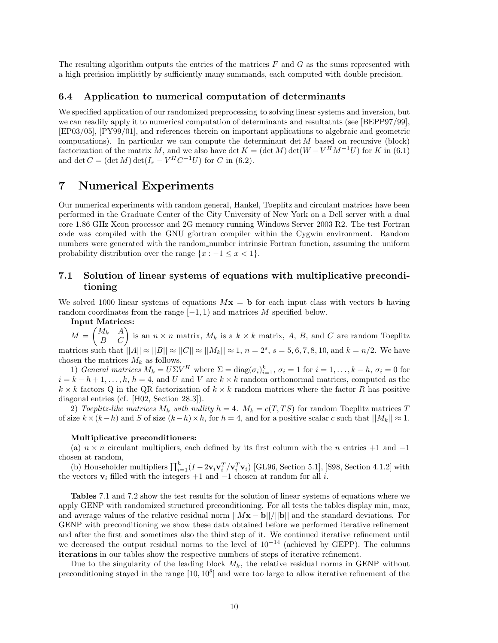The resulting algorithm outputs the entries of the matrices *F* and *G* as the sums represented with a high precision implicitly by sufficiently many summands, each computed with double precision.

#### **6.4 Application to numerical computation of determinants**

We specified application of our randomized preprocessing to solving linear systems and inversion, but we can readily apply it to numerical computation of determinants and resultatnts (see [BEPP97/99], [EP03/05], [PY99/01], and references therein on important applications to algebraic and geometric computations). In particular we can compute the determinant det *M* based on recursive (block) factorization of the matrix *M*, and we also have det  $K = (\det M) \det(W - V^H M^{-1} U)$  for K in (6.1) and det  $C = (\det M) \det(I_r - V^H C^{-1} U)$  for *C* in (6.2).

### **7 Numerical Experiments**

Our numerical experiments with random general, Hankel, Toeplitz and circulant matrices have been performed in the Graduate Center of the City University of New York on a Dell server with a dual core 1.86 GHz Xeon processor and 2G memory running Windows Server 2003 R2. The test Fortran code was compiled with the GNU gfortran compiler within the Cygwin environment. Random numbers were generated with the random number intrinsic Fortran function, assuming the uniform probability distribution over the range  $\{x : -1 \le x < 1\}.$ 

### **7.1 Solution of linear systems of equations with multiplicative preconditioning**

We solved 1000 linear systems of equations  $M\mathbf{x} = \mathbf{b}$  for each input class with vectors **b** having random coordinates from the range [−1*,* 1) and matrices *M* specified below.

**Input Matrices:**

 $M =$  $\begin{pmatrix} M_k & A \\ B & C \end{pmatrix}$  is an  $n \times n$  matrix,  $M_k$  is a  $k \times k$  matrix, *A*, *B*, and *C* are random Toeplitz matrices such that  $||A|| \approx ||B|| \approx ||C|| \approx ||M_k|| \approx 1$ ,  $n = 2^s$ ,  $s = 5, 6, 7, 8, 10$ , and  $k = n/2$ . We have chosen the matrices  $M_k$  as follows.

1) *General matrices*  $M_k = U\Sigma V^H$  where  $\Sigma = \text{diag}(\sigma_i)_{i=1}^k$ ,  $\sigma_i = 1$  for  $i = 1, ..., k - h$ ,  $\sigma_i = 0$  for  $i = k - h + 1, \ldots, k, h = 4$ , and *U* and *V* are  $k \times k$  random orthonormal matrices, computed as the  $k \times k$  factors Q in the QR factorization of  $k \times k$  random matrices where the factor *R* has positive diagonal entries (cf. [H02, Section 28.3]).

2) *Toeplitz-like matrices*  $M_k$  *with nullity*  $h = 4$ *.*  $M_k = c(T, TS)$  for random Toeplitz matrices T of size  $k \times (k-h)$  and *S* of size  $(k-h) \times h$ , for  $h = 4$ , and for a positive scalar *c* such that  $||M_k|| \approx 1$ .

#### **Multiplicative preconditioners:**

(a)  $n \times n$  circulant multipliers, each defined by its first column with the *n* entries +1 and -1 chosen at random,

(b) Householder multipliers  $\prod_{i=1}^{h} (I - 2\mathbf{v}_i \mathbf{v}_i^T / \mathbf{v}_i^T \mathbf{v}_i)$  [GL96, Section 5.1], [S98, Section 4.1.2] with the vectors  $\mathbf{v}_i$  filled with the integers +1 and -1 chosen at random for all *i*.

**Tables** 7.1 and 7.2 show the test results for the solution of linear systems of equations where we apply GENP with randomized structured preconditioning. For all tests the tables display min, max, and average values of the relative residual norm  $||M\mathbf{x} - \mathbf{b}||/||\mathbf{b}||$  and the standard deviations. For GENP with preconditioning we show these data obtained before we performed iterative refinement and after the first and sometimes also the third step of it. We continued iterative refinement until we decreased the output residual norms to the level of  $10^{-14}$  (achieved by GEPP). The columns **iterations** in our tables show the respective numbers of steps of iterative refinement.

Due to the singularity of the leading block  $M_k$ , the relative residual norms in GENP without preconditioning stayed in the range  $[10, 10^8]$  and were too large to allow iterative refinement of the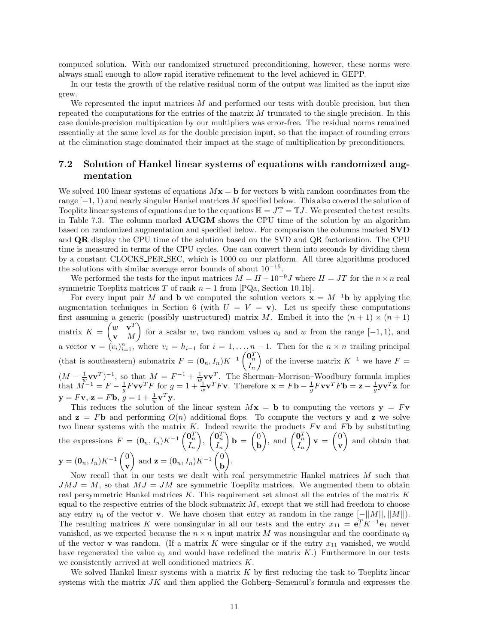computed solution. With our randomized structured preconditioning, however, these norms were always small enough to allow rapid iterative refinement to the level achieved in GEPP.

In our tests the growth of the relative residual norm of the output was limited as the input size grew.

We represented the input matrices *M* and performed our tests with double precision, but then repeated the computations for the entries of the matrix *M* truncated to the single precision. In this case double-precision multipication by our multipliers was error-free. The residual norms remained essentially at the same level as for the double precision input, so that the impact of rounding errors at the elimination stage dominated their impact at the stage of multiplication by preconditioners.

### **7.2 Solution of Hankel linear systems of equations with randomized augmentation**

We solved 100 linear systems of equations  $Mx = b$  for vectors **b** with random coordinates from the range [−1*,* 1) and nearly singular Hankel matrices *M* specified below. This also covered the solution of Toeplitz linear systems of equations due to the equations  $\mathbb{H} = J\mathbb{T} = \mathbb{T}J$ . We presented the test results in Table 7.3. The column marked **AUGM** shows the CPU time of the solution by an algorithm based on randomized augmentation and specified below. For comparison the columns marked **SVD** and **QR** display the CPU time of the solution based on the SVD and QR factorization. The CPU time is measured in terms of the CPU cycles. One can convert them into seconds by dividing them by a constant CLOCKS PER SEC, which is 1000 on our platform. All three algorithms produced the solutions with similar average error bounds of about  $10^{-15}$ .

We performed the tests for the input matrices  $M = H + 10^{-9}J$  where  $H = JT$  for the  $n \times n$  real symmetric Toeplitz matrices *T* of rank  $n-1$  from [PQa, Section 10.1b].

For every input pair *M* and **b** we computed the solution vectors  $\mathbf{x} = M^{-1}\mathbf{b}$  by applying the augmentation techniques in Section 6 (with  $U = V = v$ ). Let us specify these computations first assuming a generic (possibly unstructured) matrix *M*. Embed it into the  $(n + 1) \times (n + 1)$ matrix  $K =$  $\left(w^{\top}\mathbf{v}^T\right)$ **v** *M*  $\overline{ }$ for a scalar *w*, two random values  $v_0$  and *w* from the range  $[-1, 1)$ , and a vector  $\mathbf{v} = (v_i)_{i=1}^n$ , where  $v_i = h_{i-1}$  for  $i = 1, \ldots, n-1$ . Then for the  $n \times n$  trailing principal (that is southeastern) submatrix  $F = (\mathbf{0}_n, I_n)K^{-1}\begin{pmatrix} \mathbf{0}_n^T \\ I_n \end{pmatrix}$ of the inverse matrix  $K^{-1}$  we have  $F =$  $(M - \frac{1}{w} \mathbf{v} \mathbf{v}^T)^{-1}$ , so that  $M = F^{-1} + \frac{1}{w} \mathbf{v} \mathbf{v}^T$ . The Sherman–Morrison–Woodbury formula implies that  $M^{-1} = F - \frac{1}{g} F v v^T F$  for  $g = 1 + \frac{u}{w} v^T F v$ . Therefore  $\mathbf{x} = F \mathbf{b} - \frac{1}{g} F v v^T F \mathbf{b} = \mathbf{z} - \frac{1}{g} v v^T \mathbf{z}$  for  $y = Fv, z = Fb, g = 1 + \frac{1}{w}v^{T}y.$  $\mathbf{y} = F\mathbf{v}$ ,  $\mathbf{z} = F\mathbf{b}$ ,  $g = 1 + \frac{1}{w}\mathbf{v}^T\mathbf{y}$ .<br>This reduces the solution of the linear system  $M\mathbf{x} = \mathbf{b}$  to computing the vectors  $\mathbf{v} = F\mathbf{v}$ 

and  $z = Fb$  and performing  $O(n)$  additional flops. To compute the vectors y and z we solve two linear systems with the matrix *K*. Indeed rewrite the products *F***v** and *F***b** by substituting the expressions  $F = (\mathbf{0}_n, I_n)K^{-1}\begin{pmatrix} \mathbf{0}_n^T \\ I_n \end{pmatrix}$  $\overline{ }$ ,  $\begin{pmatrix} \mathbf{0}_n^T \\ I_n \end{pmatrix}$  $\mathbf{b} = \begin{pmatrix} 0 \\ b \end{pmatrix}$ **b**  $\binom{0}{I_n}$ , and  $\binom{0}{I_n}$  $\mathbf{v} = \begin{pmatrix} 0 \\ 0 \end{pmatrix}$ **v**  $\overline{ }$ and obtain that  ${\bf y} = ({\bf 0}_n, I_n)K^{-1}\begin{pmatrix} 0 \ {\bf 0} \end{pmatrix}$ **v** and  $\mathbf{z} = (\mathbf{0}_n, I_n)K^{-1}\left(\begin{matrix}0\\h\end{matrix}\right)$ **b** Í. .

Now recall that in our tests we dealt with real persymmetric Hankel matrices *M* such that  $JMJ = M$ , so that  $MJ = JM$  are symmetric Toeplitz matrices. We augmented them to obtain real persymmetric Hankel matrices *K*. This requirement set almost all the entries of the matrix *K* equal to the respective entries of the block submatrix *M*, except that we still had freedom to choose any entry  $v_0$  of the vector **v**. We have chosen that entry at random in the range  $\lceil -||M||, ||M||$ . The resulting matrices *K* were nonsingular in all our tests and the entry  $x_{11} = e_1^T K^{-1} e_1$  never vanished, as we expected because the  $n \times n$  input matrix *M* was nonsingular and the coordinate  $v_0$ of the vector **v** was random. (If a matrix K were singular or if the entry  $x_{11}$  vanished, we would have regenerated the value  $v_0$  and would have redefined the matrix  $K$ .) Furthermore in our tests we consistently arrived at well conditioned matrices *K*.

We solved Hankel linear systems with a matrix *K* by first reducing the task to Toeplitz linear systems with the matrix *JK* and then applied the Gohberg–Semencul's formula and expresses the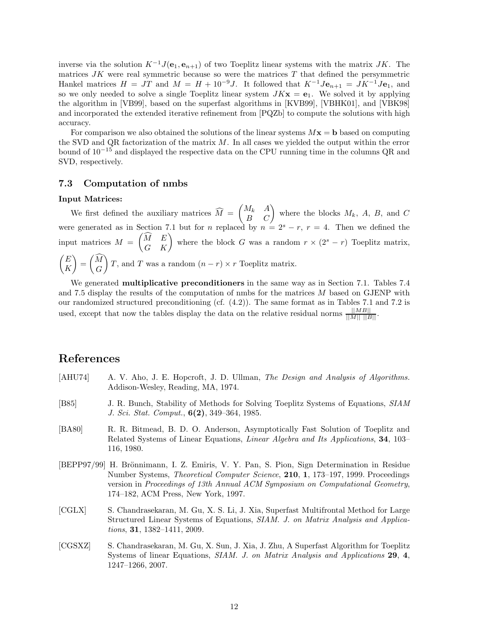inverse via the solution  $K^{-1}J(\mathbf{e}_1, \mathbf{e}_{n+1})$  of two Toeplitz linear systems with the matrix *JK*. The matrices *JK* were real symmetric because so were the matrices *T* that defined the persymmetric Hankel matrices  $H = JT$  and  $M = H + 10^{-9}J$ . It followed that  $K^{-1}J\mathbf{e}_{n+1} = JK^{-1}J\mathbf{e}_1$ , and so we only needed to solve a single Toeplitz linear system  $JKx = e_1$ . We solved it by applying the algorithm in [VB99], based on the superfast algorithms in [KVB99], [VBHK01], and [VBK98] and incorporated the extended iterative refinement from [PQZb] to compute the solutions with high accuracy.

For comparison we also obtained the solutions of the linear systems  $M\mathbf{x} = \mathbf{b}$  based on computing the SVD and QR factorization of the matrix *M*. In all cases we yielded the output within the error bound of 10−<sup>15</sup> and displayed the respective data on the CPU running time in the columns QR and SVD, respectively.

### **7.3 Computation of nmbs**

#### **Input Matrices:**

We first defined the auxiliary matrices  $M =$  $\begin{pmatrix} M_k & A \\ B & C \end{pmatrix}$  where the blocks  $M_k$ ,  $A$ ,  $B$ , and  $C$ were generated as in Section 7.1 but for *n* replaced by  $n = 2<sup>s</sup> - r$ ,  $r = 4$ . Then we defined the input matrices *M* =  $\begin{pmatrix} \widehat{M} & E \\ G & K \end{pmatrix}$  where the block *G* was a random  $r \times (2^s - r)$  Toeplitz matrix,  $E$ *K*  $\overline{ }$ = *M G*  $\overline{\phantom{0}}$ *T*, and *T* was a random  $(n - r) \times r$  Toeplitz matrix.

We generated **multiplicative preconditioners** in the same way as in Section 7.1. Tables 7.4 and 7.5 display the results of the computation of nmbs for the matrices *M* based on GJENP with our randomized structured preconditioning (cf. (4.2)). The same format as in Tables 7.1 and 7.2 is used, except that now the tables display the data on the relative residual norms  $\frac{||MB||}{||M|| ||B||}$ .

## **References**

- [AHU74] A. V. Aho, J. E. Hopcroft, J. D. Ullman, *The Design and Analysis of Algorithms.* Addison-Wesley, Reading, MA, 1974.
- [B85] J. R. Bunch, Stability of Methods for Solving Toeplitz Systems of Equations, *SIAM J. Sci. Stat. Comput.*, **6(2)**, 349–364, 1985.
- [BA80] R. R. Bitmead, B. D. O. Anderson, Asymptotically Fast Solution of Toeplitz and Related Systems of Linear Equations, *Linear Algebra and Its Applications*, **34**, 103– 116, 1980.
- [BEPP97/99] H. Brönnimann, I. Z. Emiris, V. Y. Pan, S. Pion, Sign Determination in Residue Number Systems, *Theoretical Computer Science*, **210**, **1**, 173–197, 1999. Proceedings version in *Proceedings of 13th Annual ACM Symposium on Computational Geometry*, 174–182, ACM Press, New York, 1997.
- [CGLX] S. Chandrasekaran, M. Gu, X. S. Li, J. Xia, Superfast Multifrontal Method for Large Structured Linear Systems of Equations, *SIAM. J. on Matrix Analysis and Applications*, **31**, 1382–1411, 2009.
- [CGSXZ] S. Chandrasekaran, M. Gu, X. Sun, J. Xia, J. Zhu, A Superfast Algorithm for Toeplitz Systems of linear Equations, *SIAM. J. on Matrix Analysis and Applications* **29**, **4**, 1247–1266, 2007.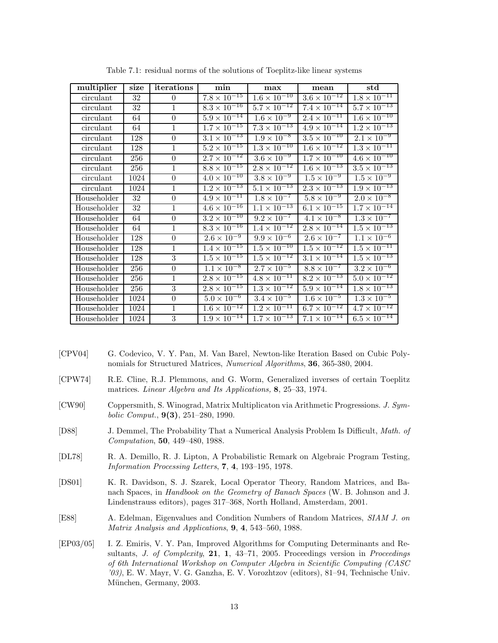| multiplier  | size            | iterations       | min                             | max                              | mean                            | $_{\rm std}$          |
|-------------|-----------------|------------------|---------------------------------|----------------------------------|---------------------------------|-----------------------|
| circulant   | 32              | $\theta$         | $7.8 \times 10^{-15}$           | $1.6 \times 10^{-10}$            | $3.6 \times 10^{-12}$           | $1.8 \times 10^{-11}$ |
| circulant   | 32              | $\mathbf{1}$     | $8.3 \times 10^{-16}$           | $5.7 \times 10^{-12}$            | $7.4 \times 10^{-14}$           | $5.7 \times 10^{-13}$ |
| circulant   | 64              | $\overline{0}$   | $5.9 \times 10^{-14}$           | $1.\overline{6 \times 10^{-9}}$  | $2.4 \times 10^{-11}$           | $1.6 \times 10^{-10}$ |
| circulant   | 64              | $\mathbf{1}$     | $1.7 \times 10^{-15}$           | $7.3 \times 10^{-13}$            | $4.9 \times 10^{-14}$           | $1.2 \times 10^{-13}$ |
| circulant   | 128             | $\boldsymbol{0}$ | $3.1 \times 10^{-13}$           | $1.9 \times 10^{-8}$             | $3.5 \times 10^{-10}$           | $2.1 \times 10^{-9}$  |
| circulant   | 128             | $\mathbf{1}$     | $5.2 \times 10^{-15}$           | $1.3 \times 10^{-10}$            | $1.6 \times 10^{-12}$           | $1.3 \times 10^{-11}$ |
| circulant   | 256             | $\theta$         | $2.7 \times 10^{-12}$           | $3.6 \times 10^{-9}$             | $1.7 \times 10^{-10}$           | $4.6 \times 10^{-10}$ |
| circulant   | 256             | $\mathbf{1}$     | $8.8 \times 10^{-15}$           | $2.8 \times 10^{-12}$            | $1.6 \times 10^{-13}$           | $3.5 \times 10^{-13}$ |
| circulant   | 1024            | $\boldsymbol{0}$ | $4.0 \times 10^{-10}$           | $3.8 \times 10^{-9}$             | $1.5 \times 10^{-9}$            | $1.5 \times 10^{-9}$  |
| circulant   | 1024            | $\mathbf{1}$     | $1.2 \times 10^{-13}$           | $5.1 \times 10^{-13}$            | $2.3 \times 10^{-13}$           | $1.9 \times 10^{-13}$ |
| Householder | $\overline{32}$ | $\overline{0}$   | $4.9 \times 10^{-11}$           | $1.8 \times 10^{-7}$             | $5.8 \times 10^{-9}$            | $2.0 \times 10^{-8}$  |
| Householder | 32              | $\mathbf{1}$     | $4.6 \times 10^{-16}$           | $1.1 \times 10^{-13}$            | $6.1 \times 10^{-15}$           | $1.7 \times 10^{-14}$ |
| Householder | 64              | $\overline{0}$   | $3.2 \times 10^{-10}$           | $9.2 \times 10^{-7}$             | $4.1 \times 10^{-8}$            | $1.3 \times 10^{-7}$  |
| Householder | 64              | $\mathbf{1}$     | $8.3 \times 10^{-16}$           | $1.4 \times 10^{-12}$            | $2.8 \times 10^{-14}$           | $1.5 \times 10^{-13}$ |
| Householder | 128             | $\boldsymbol{0}$ | $2.\overline{6 \times 10^{-9}}$ | $9.9 \times 10^{-6}$             | $2.6 \times 10^{-7}$            | $1.1 \times 10^{-6}$  |
| Householder | 128             | 1                | $1.4 \times 10^{-15}$           | $1.5 \times 10^{-10}$            | $1.5 \times 10^{-12}$           | $1.5 \times 10^{-11}$ |
| Householder | 128             | $\boldsymbol{3}$ | $1.5 \times 10^{-15}$           | $1.5 \times 10^{-12}$            | $3.1 \times 10^{-14}$           | $1.5 \times 10^{-13}$ |
| Householder | 256             | $\overline{0}$   | $1.1 \times 10^{-8}$            | $2.7 \times 10^{-5}$             | $8.8 \times 10^{-7}$            | $3.2 \times 10^{-6}$  |
| Householder | 256             | 1                | $2.8 \times 10^{-15}$           | $4.8 \times 10^{-11}$            | $8.2 \times 10^{-13}$           | $5.0 \times 10^{-12}$ |
| Householder | 256             | 3                | $2.8 \times 10^{-15}$           | $1.3 \times 10^{-12}$            | $5.9 \times 10^{-14}$           | $1.8 \times 10^{-13}$ |
| Householder | 1024            | $\overline{0}$   | $5.0 \times 10^{-6}$            | $3.\overline{4 \times 10^{-5}}$  | $1.\overline{6 \times 10^{-5}}$ | $1.3 \times 10^{-5}$  |
| Householder | 1024            | $\mathbf{1}$     | $1.6 \times 10^{-12}$           | $1.2 \times 10^{-11}$            | $6.7 \times 10^{-12}$           | $4.7 \times 10^{-12}$ |
| Householder | 1024            | $\overline{3}$   | $1.9 \times 10^{-14}$           | $1.\overline{7 \times 10^{-13}}$ | $7.1 \times 10^{-14}$           | $6.5 \times 10^{-14}$ |

Table 7.1: residual norms of the solutions of Toeplitz-like linear systems

- [CPV04] G. Codevico, V. Y. Pan, M. Van Barel, Newton-like Iteration Based on Cubic Polynomials for Structured Matrices, *Numerical Algorithms*, **36**, 365-380, 2004.
- [CPW74] R.E. Cline, R.J. Plemmons, and G. Worm, Generalized inverses of certain Toeplitz matrices. *Linear Algebra and Its Applications,* **8**, 25–33, 1974.
- [CW90] Coppersmith, S. Winograd, Matrix Multiplicaton via Arithmetic Progressions. *J. Symbolic Comput.*, **9(3)**, 251–280, 1990.
- [D88] J. Demmel, The Probability That a Numerical Analysis Problem Is Difficult, *Math. of Computation*, **50**, 449–480, 1988.
- [DL78] R. A. Demillo, R. J. Lipton, A Probabilistic Remark on Algebraic Program Testing, *Information Processing Letters*, **7**, **4**, 193–195, 1978.
- [DS01] K. R. Davidson, S. J. Szarek, Local Operator Theory, Random Matrices, and Banach Spaces, in *Handbook on the Geometry of Banach Spaces* (W. B. Johnson and J. Lindenstrauss editors), pages 317–368, North Holland, Amsterdam, 2001.
- [E88] A. Edelman, Eigenvalues and Condition Numbers of Random Matrices, *SIAM J. on Matrix Analysis and Applications*, **9**, **4**, 543–560, 1988.
- [EP03/05] I. Z. Emiris, V. Y. Pan, Improved Algorithms for Computing Determinants and Resultants, *J. of Complexity*, **21**, **1**, 43–71, 2005. Proceedings version in *Proceedings of 6th International Workshop on Computer Algebra in Scientific Computing (CASC '03)*, E. W. Mayr, V. G. Ganzha, E. V. Vorozhtzov (editors), 81–94, Technische Univ. München, Germany, 2003.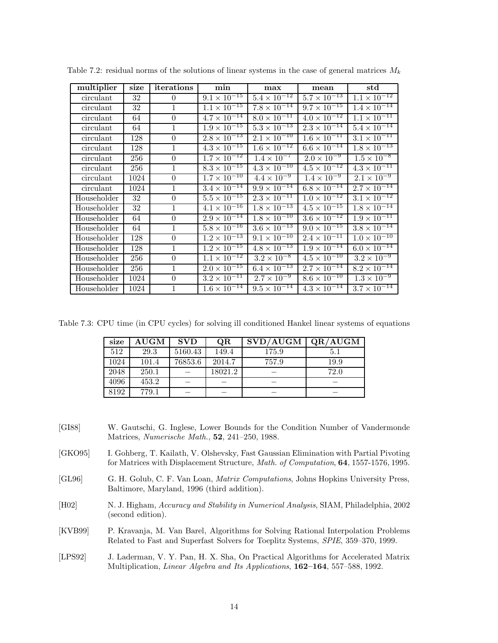| multiplier  | size | iterations   | min                              | max                              | mean                             | $_{\rm std}$                     |
|-------------|------|--------------|----------------------------------|----------------------------------|----------------------------------|----------------------------------|
| circulant   | 32   | $\theta$     | $9.1 \times 10^{-15}$            | $5.4 \times \overline{10^{-12}}$ | $5.7 \times 10^{-13}$            | $1.1 \times 10^{-12}$            |
| circulant   | 32   | $\mathbf{1}$ | $1.1 \times 10^{-15}$            | $7.8 \times 10^{-14}$            | $9.7 \times 10^{-15}$            | $1.\overline{4 \times 10^{-14}}$ |
| circulant   | 64   | $\theta$     | $4.7 \times 10^{-14}$            | $8.0 \times 10^{-11}$            | $4.0 \times 10^{-12}$            | $1.\overline{1 \times 10^{-11}}$ |
| circulant   | 64   | $\mathbf{1}$ | $1.9 \times 10^{-15}$            | $5.3 \times 10^{-13}$            | $2.3 \times 10^{-14}$            | $5.4 \times 10^{-14}$            |
| circulant   | 128  | $\theta$     | $2.8 \times 10^{-13}$            | $2.1 \times 10^{-10}$            | $1.6 \times 10^{-11}$            | $3.1 \times 10^{-11}$            |
| circulant   | 128  | $\mathbf{1}$ | $4.3 \times 10^{-15}$            | $1.6 \times 10^{-12}$            | $6.6 \times 10^{-14}$            | $1.8 \times 10^{-13}$            |
| circulant   | 256  | $\Omega$     | $1.7 \times 10^{-12}$            | $1.\overline{4 \times 10^{-7}}$  | $2.0 \times 10^{-9}$             | $1.5 \times 10^{-8}$             |
| circulant   | 256  | $\mathbf{1}$ | $8.3 \times 10^{-15}$            | $4.3 \times 10^{-10}$            | $4.5 \times 10^{-12}$            | $4.3 \times 10^{-11}$            |
| circulant   | 1024 | $\theta$     | $1.7 \times 10^{-10}$            | $4.4 \times 10^{-9}$             | $1.4 \times 10^{-9}$             | $2.1 \times 10^{-9}$             |
| circulant   | 1024 | $\mathbf{1}$ | $3.4 \times 10^{-14}$            | $9.9 \times 10^{-14}$            | $6.8 \times 10^{-14}$            | $2.7 \times 10^{-14}$            |
| Householder | 32   | $\theta$     | $5.5 \times 10^{-15}$            | $2.3 \times 10^{-11}$            | $1.0 \times 10^{-12}$            | $3.1 \times 10^{-12}$            |
| Householder | 32   | $\mathbf{1}$ | $4.1 \times 10^{-16}$            | $1.8 \times 10^{-13}$            | $4.5 \times 10^{-15}$            | $1.8 \times 10^{-14}$            |
| Householder | 64   | $\theta$     | $2.9 \times 10^{-14}$            | $1.8 \times 10^{-10}$            | $3.6 \times 10^{-12}$            | $1.9 \times 10^{-11}$            |
| Householder | 64   | $\mathbf{1}$ | $5.8 \times 10^{-16}$            | $3.6 \times 10^{-13}$            | $9.0 \times 10^{-15}$            | $3.8 \times 10^{-14}$            |
| Householder | 128  | $\theta$     | $1.2 \times 10^{-13}$            | $9.1 \times 10^{-10}$            | $2.\overline{4 \times 10^{-11}}$ | $1.0 \times 10^{-10}$            |
| Householder | 128  | $\mathbf{1}$ | $1.2 \times 10^{-15}$            | $4.8 \times 10^{-13}$            | $1.9 \times 10^{-14}$            | $6.0 \times 10^{-14}$            |
| Householder | 256  | $\theta$     | $1.1 \times 10^{-12}$            | $3.2 \times 10^{-8}$             | $4.5 \times 10^{-10}$            | $3.2 \times 10^{-9}$             |
| Householder | 256  | $\mathbf{1}$ | $2.0 \times 10^{-15}$            | $6.4 \times 10^{-13}$            | $2.7 \times 10^{-14}$            | $8.2 \times 10^{-14}$            |
| Householder | 1024 | $\theta$     | $3.2 \times 10^{-11}$            | $2.7 \times 10^{-9}$             | $8.6 \times 10^{-10}$            | $1.3 \times 10^{-9}$             |
| Householder | 1024 | $\mathbf{1}$ | $1.6 \times \overline{10^{-14}}$ | $9.5 \times 10^{-14}$            | $4.3 \times 10^{-14}$            | $3.7 \times 10^{-14}$            |

Table 7.2: residual norms of the solutions of linear systems in the case of general matrices *M<sup>k</sup>*

Table 7.3: CPU time (in CPU cycles) for solving ill conditioned Hankel linear systems of equations

| size | $\boldsymbol{\mathrm{AUGM}}$ | <b>SVD</b> | QR      | SVD/AUGM | QR/AUGM |
|------|------------------------------|------------|---------|----------|---------|
| 512  | 29.3                         | 5160.43    | 149.4   | 175.9    | 5.1     |
| 1024 | 101.4                        | 76853.6    | 2014.7  | 757.9    | 19.9    |
| 2048 | 250.1                        |            | 18021.2 |          | 72.0    |
| 4096 | 453.2                        |            |         |          |         |
| 8192 | 779.1                        |            |         |          |         |

- [GI88] W. Gautschi, G. Inglese, Lower Bounds for the Condition Number of Vandermonde Matrices, *Numerische Math.*, **52**, 241–250, 1988.
- [GKO95] I. Gohberg, T. Kailath, V. Olshevsky, Fast Gaussian Elimination with Partial Pivoting for Matrices with Displacement Structure, *Math. of Computation*, **64**, 1557-1576, 1995.
- [GL96] G. H. Golub, C. F. Van Loan, *Matrix Computations*, Johns Hopkins University Press, Baltimore, Maryland, 1996 (third addition).
- [H02] N. J. Higham, *Accuracy and Stability in Numerical Analysis*, SIAM, Philadelphia, 2002 (second edition).
- [KVB99] P. Kravanja, M. Van Barel, Algorithms for Solving Rational Interpolation Problems Related to Fast and Superfast Solvers for Toeplitz Systems, *SPIE*, 359–370, 1999.

[LPS92] J. Laderman, V. Y. Pan, H. X. Sha, On Practical Algorithms for Accelerated Matrix Multiplication, *Linear Algebra and Its Applications*, **162–164**, 557–588, 1992.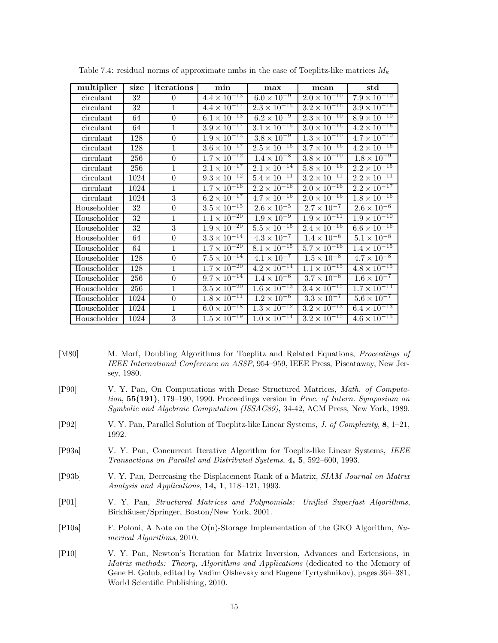| multiplier  | size | iterations       | min                   | max                             | mean                            | std                   |
|-------------|------|------------------|-----------------------|---------------------------------|---------------------------------|-----------------------|
| circulant   | 32   | $\Omega$         | $4.4 \times 10^{-13}$ | $6.0 \times 10^{-9}$            | $2.0 \times 10^{-10}$           | $7.9 \times 10^{-10}$ |
| circulant   | 32   | $\mathbf{1}$     | $4.4 \times 10^{-17}$ | $2.3 \times 10^{-15}$           | $3.2 \times 10^{-16}$           | $3.9 \times 10^{-16}$ |
| circulant   | 64   | $\overline{0}$   | $6.1 \times 10^{-13}$ | $6.2 \times 10^{-9}$            | $2.3 \times 10^{-10}$           | $8.9 \times 10^{-10}$ |
| circulant   | 64   | $\mathbf{1}$     | $3.9 \times 10^{-17}$ | $3.1 \times 10^{-15}$           | $3.0 \times 10^{-16}$           | $4.2 \times 10^{-16}$ |
| circulant   | 128  | $\boldsymbol{0}$ | $1.9 \times 10^{-13}$ | $3.8 \times 10^{-9}$            | $1.3 \times 10^{-10}$           | $4.7 \times 10^{-10}$ |
| circulant   | 128  | 1                | $3.6 \times 10^{-17}$ | $2.5 \times 10^{-15}$           | $3.7 \times 10^{-16}$           | $4.2 \times 10^{-16}$ |
| circulant   | 256  | $\overline{0}$   | $1.7 \times 10^{-12}$ | $1.4 \times 10^{-8}$            | $3.8 \times 10^{-10}$           | $1.8 \times 10^{-9}$  |
| circulant   | 256  | $\mathbf{1}$     | $2.1 \times 10^{-17}$ | $2.1 \times 10^{-14}$           | $5.8 \times 10^{-16}$           | $2.2 \times 10^{-15}$ |
| circulant   | 1024 | $\overline{0}$   | $9.3 \times 10^{-12}$ | $5.4 \times 10^{-11}$           | $3.2 \times 10^{-11}$           | $2.2 \times 10^{-11}$ |
| circulant   | 1024 | $\mathbf{1}$     | $1.7 \times 10^{-16}$ | $2.2 \times 10^{-16}$           | $2.0 \times 10^{-16}$           | $2.2 \times 10^{-17}$ |
| circulant   | 1024 | 3                | $6.2 \times 10^{-17}$ | $4.7 \times 10^{-16}$           | $2.0 \times 10^{-16}$           | $1.8 \times 10^{-16}$ |
| Householder | 32   | $\boldsymbol{0}$ | $3.5 \times 10^{-15}$ | $2.6 \times 10^{-5}$            | $2.7 \times 10^{-7}$            | $2.6 \times 10^{-6}$  |
| Householder | 32   | $\mathbf{1}$     | $1.1 \times 10^{-20}$ | $1.9 \times 10^{-9}$            | $1.9 \times 10^{-11}$           | $1.9 \times 10^{-10}$ |
| Householder | 32   | $\overline{3}$   | $1.9 \times 10^{-20}$ | $5.5 \times 10^{-15}$           | $2.4 \times 10^{-16}$           | $6.6 \times 10^{-16}$ |
| Householder | 64   | $\boldsymbol{0}$ | $3.3 \times 10^{-14}$ | $4.3 \times 10^{-7}$            | $1.4 \times 10^{-8}$            | $5.1 \times 10^{-8}$  |
| Householder | 64   | 1                | $1.7 \times 10^{-20}$ | $8.1 \times 10^{-15}$           | $5.7 \times 10^{-16}$           | $1.4 \times 10^{-15}$ |
| Householder | 128  | $\theta$         | $7.5 \times 10^{-14}$ | $4.1 \times 10^{-7}$            | $1.5 \times 10^{-8}$            | $4.7 \times 10^{-8}$  |
| Householder | 128  | $\mathbf{1}$     | $1.7 \times 10^{-20}$ | $4.2 \times 10^{-14}$           | $1.1 \times 10^{-15}$           | $4.8 \times 10^{-15}$ |
| Householder | 256  | $\theta$         | $9.7 \times 10^{-14}$ | $1.\overline{4 \times 10^{-6}}$ | $3.7 \times 10^{-8}$            | $1.6 \times 10^{-7}$  |
| Householder | 256  | $\mathbf{1}$     | $3.5 \times 10^{-20}$ | $1.6 \times 10^{-13}$           | $3.4 \times 10^{-15}$           | $1.7 \times 10^{-14}$ |
| Householder | 1024 | $\overline{0}$   | $1.8 \times 10^{-11}$ | $1.2 \times 10^{-6}$            | $3.\overline{3 \times 10^{-7}}$ | $5.6 \times 10^{-7}$  |
| Householder | 1024 | $\mathbf{1}$     | $6.0 \times 10^{-18}$ | $1.3 \times 10^{-12}$           | $3.2 \times 10^{-13}$           | $6.4 \times 10^{-13}$ |
| Householder | 1024 | $\overline{3}$   | $1.5 \times 10^{-19}$ | $1.0 \times 10^{-14}$           | $3.2 \times 10^{-15}$           | $4.6 \times 10^{-15}$ |

Table 7.4: residual norms of approximate nmbs in the case of Toeplitz-like matrices *M<sup>k</sup>*

- [M80] M. Morf, Doubling Algorithms for Toeplitz and Related Equations, *Proceedings of IEEE International Conference on ASSP*, 954–959, IEEE Press, Piscataway, New Jersey, 1980.
- [P90] V. Y. Pan, On Computations with Dense Structured Matrices, *Math. of Computation*, **55(191)**, 179–190, 1990. Proceedings version in *Proc. of Intern. Symposium on Symbolic and Algebraic Computation (ISSAC89)*, 34-42, ACM Press, New York, 1989.
- [P92] V. Y. Pan, Parallel Solution of Toeplitz-like Linear Systems, *J. of Complexity*, **8**, 1–21, 1992.
- [P93a] V. Y. Pan, Concurrent Iterative Algorithm for Toepliz-like Linear Systems, *IEEE Transactions on Parallel and Distributed Systems*, **4, 5**, 592–600, 1993.
- [P93b] V. Y. Pan, Decreasing the Displacement Rank of a Matrix, *SIAM Journal on Matrix Analysis and Applications*, **14, 1**, 118–121, 1993.
- [P01] V. Y. Pan, *Structured Matrices and Polynomials: Unified Superfast Algorithms*, Birkhäuser/Springer, Boston/New York, 2001.
- [P10a] F. Poloni, A Note on the O(n)-Storage Implementation of the GKO Algorithm, *Numerical Algorithms*, 2010.
- [P10] V. Y. Pan, Newton's Iteration for Matrix Inversion, Advances and Extensions, in *Matrix methods: Theory, Algorithms and Applications* (dedicated to the Memory of Gene H. Golub, edited by Vadim Olshevsky and Eugene Tyrtyshnikov), pages 364–381, World Scientific Publishing, 2010.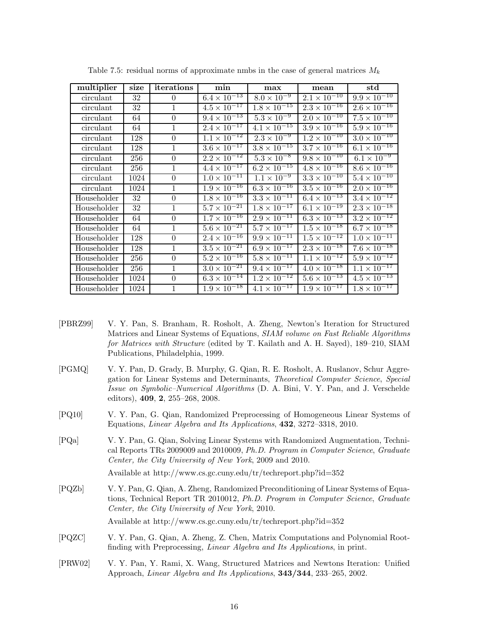| multiplier  | size            | iterations       | min                              | max                              | mean                  | $_{\rm std}$                     |
|-------------|-----------------|------------------|----------------------------------|----------------------------------|-----------------------|----------------------------------|
| circulant   | 32              | $\theta$         | $6.4 \times \overline{10^{-13}}$ | $8.0 \times 10^{-9}$             | $2.1 \times 10^{-10}$ | $9.9 \times 10^{-10}$            |
| circulant   | 32              | $\mathbf{1}$     | $4.5 \times 10^{-17}$            | $1.\overline{8 \times 10^{-15}}$ | $2.3 \times 10^{-16}$ | $2.6 \times 10^{-16}$            |
| circulant   | 64              | $\Omega$         | $9.4 \times 10^{-13}$            | $5.3 \times 10^{-9}$             | $2.0 \times 10^{-10}$ | $7.5 \times 10^{-10}$            |
| circulant   | 64              | $\mathbf{1}$     | $2.4 \times 10^{-17}$            | $4.1 \times 10^{-15}$            | $3.9 \times 10^{-16}$ | $5.9 \times 10^{-16}$            |
| circulant   | 128             | $\overline{0}$   | $1.1 \times 10^{-12}$            | $2.3 \times 10^{-9}$             | $1.2 \times 10^{-10}$ | $3.0 \times 10^{-10}$            |
| circulant   | 128             | $\mathbf{1}$     | $3.6 \times 10^{-17}$            | $3.8 \times 10^{-15}$            | $3.7 \times 10^{-16}$ | $6.1 \times 10^{-16}$            |
| circulant   | 256             | $\overline{0}$   | $2.2 \times 10^{-12}$            | $5.3 \times 10^{-8}$             | $9.8 \times 10^{-10}$ | $6.1 \times 10^{-9}$             |
| circulant   | 256             | $\mathbf{1}$     | $4.4 \times 10^{-17}$            | $6.2 \times 10^{-15}$            | $4.8 \times 10^{-16}$ | $8.6 \times 10^{-16}$            |
| circulant   | 1024            | $\overline{0}$   | $1.0 \times 10^{-11}$            | $1.1 \times 10^{-9}$             | $3.3 \times 10^{-10}$ | $5.4 \times 10^{-10}$            |
| circulant   | 1024            | $\mathbf{1}$     | $1.9 \times 10^{-16}$            | $6.3 \times 10^{-16}$            | $3.5 \times 10^{-16}$ | $2.0 \times 10^{-16}$            |
| Householder | $\overline{32}$ | $\boldsymbol{0}$ | $1.8 \times 10^{-16}$            | $3.3 \times 10^{-11}$            | $6.4 \times 10^{-13}$ | $3.4 \times 10^{-12}$            |
| Householder | 32              | 1                | $5.7 \times 10^{-21}$            | $1.8 \times 10^{-17}$            | $6.1 \times 10^{-19}$ | $2.3 \times 10^{-18}$            |
| Householder | 64              | $\boldsymbol{0}$ | $1.7 \times 10^{-16}$            | $2.9 \times 10^{-11}$            | $6.3 \times 10^{-13}$ | $3.2 \times 10^{-12}$            |
| Householder | 64              | $\mathbf{1}$     | $5.6 \times 10^{-21}$            | $5.7 \times 10^{-17}$            | $1.5 \times 10^{-18}$ | $6.7 \times 10^{-18}$            |
| Householder | 128             | $\boldsymbol{0}$ | $2.4 \times 10^{-16}$            | $9.9 \times 10^{-11}$            | $1.5 \times 10^{-12}$ | $1.0 \times 10^{-11}$            |
| Householder | 128             | $\mathbf{1}$     | $3.5 \times 10^{-21}$            | $6.9 \times 10^{-17}$            | $2.3 \times 10^{-18}$ | $7.6 \times 10^{-18}$            |
| Householder | 256             | $\theta$         | $5.2 \times 10^{-16}$            | $5.8 \times 10^{-11}$            | $1.1 \times 10^{-12}$ | $5.9 \times 10^{-12}$            |
| Householder | 256             | $\mathbf{1}$     | $3.0 \times 10^{-21}$            | $9.4 \times 10^{-17}$            | $4.0 \times 10^{-18}$ | $1.1 \times 10^{-17}$            |
| Householder | 1024            | $\theta$         | $6.3 \times 10^{-14}$            | $1.\overline{2 \times 10^{-12}}$ | $5.6 \times 10^{-13}$ | $4.5 \times 10^{-13}$            |
| Householder | 1024            | $\mathbf{1}$     | $1.9 \times 10^{-18}$            | $4.1 \times 10^{-17}$            | $1.9 \times 10^{-17}$ | $1.\overline{8 \times 10^{-17}}$ |

Table 7.5: residual norms of approximate nmbs in the case of general matrices *M<sup>k</sup>*

- [PBRZ99] V. Y. Pan, S. Branham, R. Rosholt, A. Zheng, Newton's Iteration for Structured Matrices and Linear Systems of Equations, *SIAM volume on Fast Reliable Algorithms for Matrices with Structure* (edited by T. Kailath and A. H. Sayed), 189–210, SIAM Publications, Philadelphia, 1999.
- [PGMQ] V. Y. Pan, D. Grady, B. Murphy, G. Qian, R. E. Rosholt, A. Ruslanov, Schur Aggregation for Linear Systems and Determinants, *Theoretical Computer Science*, *Special Issue on Symbolic–Numerical Algorithms* (D. A. Bini, V. Y. Pan, and J. Verschelde editors), **409**, **2**, 255–268, 2008.
- [PQ10] V. Y. Pan, G. Qian, Randomized Preprocessing of Homogeneous Linear Systems of Equations, *Linear Algebra and Its Applications*, **432**, 3272–3318, 2010.
- [PQa] V. Y. Pan, G. Qian, Solving Linear Systems with Randomized Augmentation, Technical Reports TRs 2009009 and 2010009, *Ph.D. Program in Computer Science*, *Graduate Center, the City University of New York*, 2009 and 2010.

Available at http://www.cs.gc.cuny.edu/tr/techreport.php?id=352

[PQZb] V. Y. Pan, G. Qian, A. Zheng, Randomized Preconditioning of Linear Systems of Equations, Technical Report TR 2010012, *Ph.D. Program in Computer Science*, *Graduate Center, the City University of New York*, 2010.

Available at http://www.cs.gc.cuny.edu/tr/techreport.php?id=352

- [PQZC] V. Y. Pan, G. Qian, A. Zheng, Z. Chen, Matrix Computations and Polynomial Rootfinding with Preprocessing, *Linear Algebra and Its Applications*, in print.
- [PRW02] V. Y. Pan, Y. Rami, X. Wang, Structured Matrices and Newtons Iteration: Unified Approach, *Linear Algebra and Its Applications*, **343/344**, 233–265, 2002.